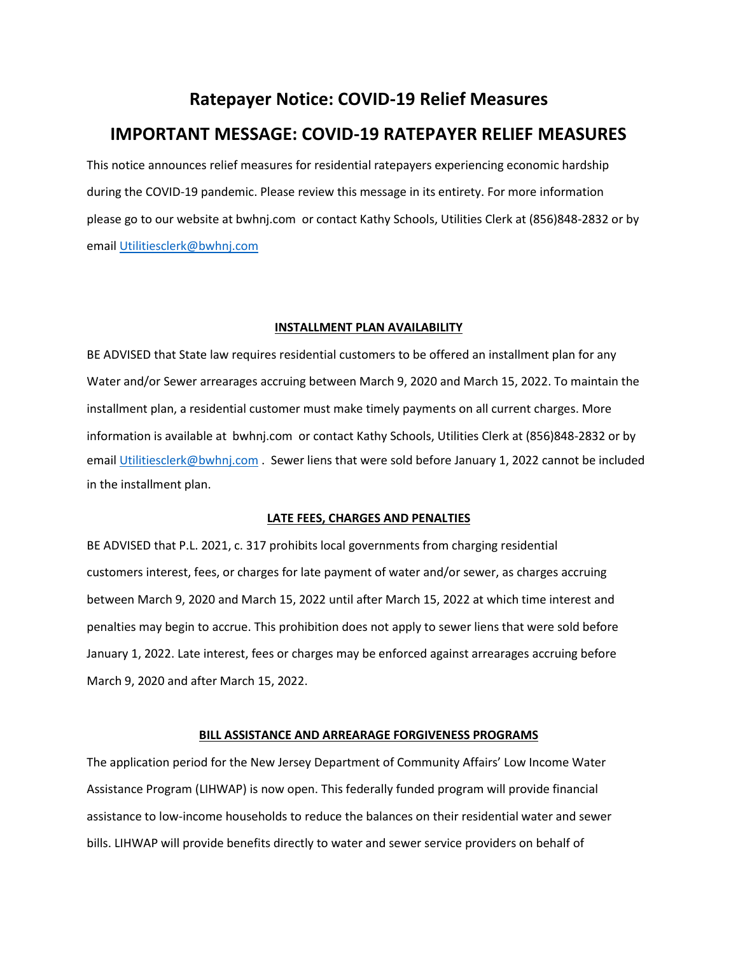## **Ratepayer Notice: COVID-19 Relief Measures IMPORTANT MESSAGE: COVID-19 RATEPAYER RELIEF MEASURES**

This notice announces relief measures for residential ratepayers experiencing economic hardship during the COVID-19 pandemic. Please review this message in its entirety. For more information please go to our website at bwhnj.com or contact Kathy Schools, Utilities Clerk at (856)848-2832 or by email [Utilitiesclerk@bwhnj.com](mailto:Utilitiesclerk@bwhnj.com)

## **INSTALLMENT PLAN AVAILABILITY**

BE ADVISED that State law requires residential customers to be offered an installment plan for any Water and/or Sewer arrearages accruing between March 9, 2020 and March 15, 2022. To maintain the installment plan, a residential customer must make timely payments on all current charges. More information is available at bwhnj.com or contact Kathy Schools, Utilities Clerk at (856)848-2832 or by email [Utilitiesclerk@bwhnj.com](mailto:Utilitiesclerk@bwhnj.com) . Sewer liens that were sold before January 1, 2022 cannot be included in the installment plan.

## **LATE FEES, CHARGES AND PENALTIES**

BE ADVISED that P.L. 2021, c. 317 prohibits local governments from charging residential customers interest, fees, or charges for late payment of water and/or sewer, as charges accruing between March 9, 2020 and March 15, 2022 until after March 15, 2022 at which time interest and penalties may begin to accrue. This prohibition does not apply to sewer liens that were sold before January 1, 2022. Late interest, fees or charges may be enforced against arrearages accruing before March 9, 2020 and after March 15, 2022.

## **BILL ASSISTANCE AND ARREARAGE FORGIVENESS PROGRAMS**

The application period for the New Jersey Department of Community Affairs' Low Income Water Assistance Program (LIHWAP) is now open. This federally funded program will provide financial assistance to low-income households to reduce the balances on their residential water and sewer bills. LIHWAP will provide benefits directly to water and sewer service providers on behalf of